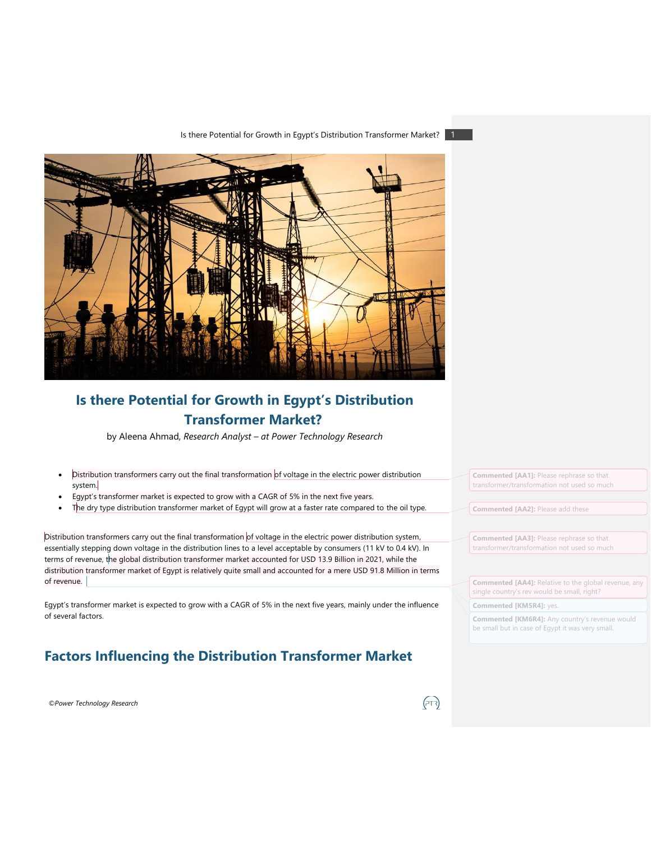Is there Potential for Growth in Egypt's Distribution Transformer Market?



# **Is there Potential for Growth in Egypt's Distribution Transformer Market?**

by Aleena Ahmad, *Research Analyst – at Power Technology Research*

- Distribution transformers carry out the final transformation of voltage in the electric power distribution system.
- Egypt's transformer market is expected to grow with a CAGR of 5% in the next five years.
- The dry type distribution transformer market of Egypt will grow at a faster rate compared to the oil type.

Distribution transformers carry out the final transformation of voltage in the electric power distribution system, essentially stepping down voltage in the distribution lines to a level acceptable by consumers (11 kV to 0.4 kV). In terms of revenue, the global distribution transformer market accounted for USD 13.9 Billion in 2021, while the distribution transformer market of Egypt is relatively quite small and accounted for a mere USD 91.8 Million in terms of revenue.

Egypt's transformer market is expected to grow with a CAGR of 5% in the next five years, mainly under the influence of several factors.

### **Factors Influencing the Distribution Transformer Market**

*©Power Technology Research*

**Commented [AA1]:** Please rephrase so that transformer/transformation not used so much

**Commented [AA2]:** Please add these

**Commented [AA3]:** Please rephrase so that transformer/transformation not used so much

**Commented [AA4]:** Relative to the global revenue, any single country's rev would be small, right?

**Commented [KM5R4]:** yes.

**Commented [KM6R4]:** Any country's revenue would be small but in case of Egypt it was very small.

(नर)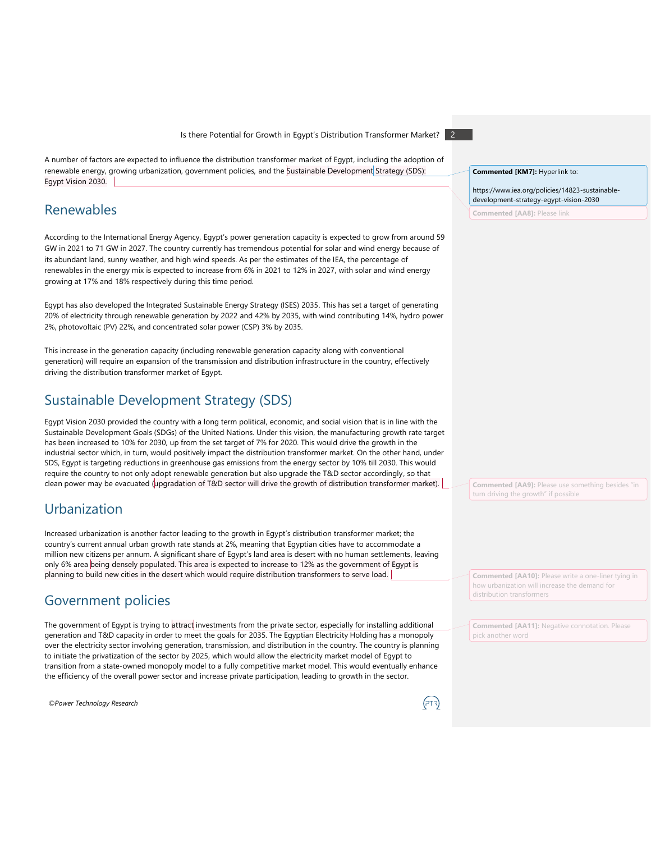Is there Potential for Growth in Egypt's Distribution Transformer Market? 2

A number of factors are expected to influence the distribution transformer market of Egypt, including the adoption of renewable energy, growing urbanization, government policies, and the Sustainable Development Strategy (SDS): Egypt Vision 2030.

### Renewables

According to the International Energy Agency, Egypt's power generation capacity is expected to grow from around 59 GW in 2021 to 71 GW in 2027. The country currently has tremendous potential for solar and wind energy because of its abundant land, sunny weather, and high wind speeds. As per the estimates of the IEA, the percentage of renewables in the energy mix is expected to increase from 6% in 2021 to 12% in 2027, with solar and wind energy growing at 17% and 18% respectively during this time period.

Egypt has also developed the Integrated Sustainable Energy Strategy (ISES) 2035. This has set a target of generating 20% of electricity through renewable generation by 2022 and 42% by 2035, with wind contributing 14%, hydro power 2%, photovoltaic (PV) 22%, and concentrated solar power (CSP) 3% by 2035.

This increase in the generation capacity (including renewable generation capacity along with conventional generation) will require an expansion of the transmission and distribution infrastructure in the country, effectively driving the distribution transformer market of Egypt.

### Sustainable Development Strategy (SDS)

Egypt Vision 2030 provided the country with a long term political, economic, and social vision that is in line with the Sustainable Development Goals (SDGs) of the United Nations. Under this vision, the manufacturing growth rate target has been increased to 10% for 2030, up from the set target of 7% for 2020. This would drive the growth in the industrial sector which, in turn, would positively impact the distribution transformer market. On the other hand, under SDS, Egypt is targeting reductions in greenhouse gas emissions from the energy sector by 10% till 2030. This would require the country to not only adopt renewable generation but also upgrade the T&D sector accordingly, so that clean power may be evacuated (upgradation of T&D sector will drive the growth of distribution transformer market).

## Urbanization

Increased urbanization is another factor leading to the growth in Egypt's distribution transformer market; the country's current annual urban growth rate stands at 2%, meaning that Egyptian cities have to accommodate a million new citizens per annum. A significant share of Egypt's land area is desert with no human settlements, leaving only 6% area being densely populated. This area is expected to increase to 12% as the government of Egypt is planning to build new cities in the desert which would require distribution transformers to serve load.

### Government policies

The government of Egypt is trying to attract investments from the private sector, especially for installing additional generation and T&D capacity in order to meet the goals for 2035. The Egyptian Electricity Holding has a monopoly over the electricity sector involving generation, transmission, and distribution in the country. The country is planning to initiate the privatization of the sector by 2025, which would allow the electricity market model of Egypt to transition from a state-owned monopoly model to a fully competitive market model. This would eventually enhance the efficiency of the overall power sector and increase private participation, leading to growth in the sector.

*©Power Technology Research*

### **Commented [KM7]:** Hyperlink to:

https://www.iea.org/policies/14823-sustainabledevelopment-strategy-egypt-vision-2030

**Commented [AA8]: Pl** 

**Commented [AA9]:** Please use something besides "in turn driving the growth" if possible

**Commented [AA10]:** Please write a one-liner tying in how urbanization will increase the demand for distribution transformers

**Commented [AA11]:** Negative connotation. Please pick another word

(ਸਾ)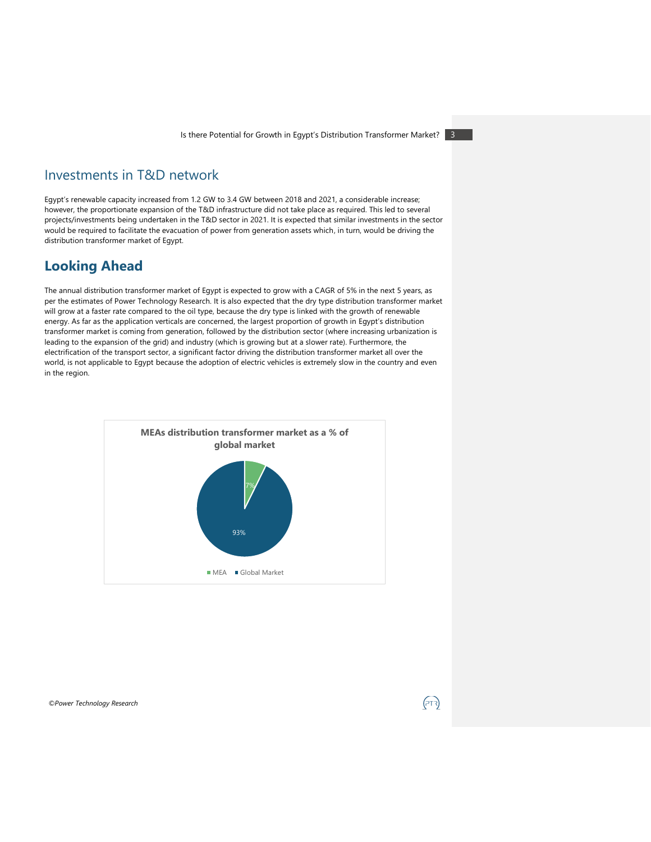### Investments in T&D network

Egypt's renewable capacity increased from 1.2 GW to 3.4 GW between 2018 and 2021, a considerable increase; however, the proportionate expansion of the T&D infrastructure did not take place as required. This led to several projects/investments being undertaken in the T&D sector in 2021. It is expected that similar investments in the sector would be required to facilitate the evacuation of power from generation assets which, in turn, would be driving the distribution transformer market of Egypt.

### **Looking Ahead**

The annual distribution transformer market of Egypt is expected to grow with a CAGR of 5% in the next 5 years, as per the estimates of Power Technology Research. It is also expected that the dry type distribution transformer market will grow at a faster rate compared to the oil type, because the dry type is linked with the growth of renewable energy. As far as the application verticals are concerned, the largest proportion of growth in Egypt's distribution transformer market is coming from generation, followed by the distribution sector (where increasing urbanization is leading to the expansion of the grid) and industry (which is growing but at a slower rate). Furthermore, the electrification of the transport sector, a significant factor driving the distribution transformer market all over the world, is not applicable to Egypt because the adoption of electric vehicles is extremely slow in the country and even in the region.



*©Power Technology Research*